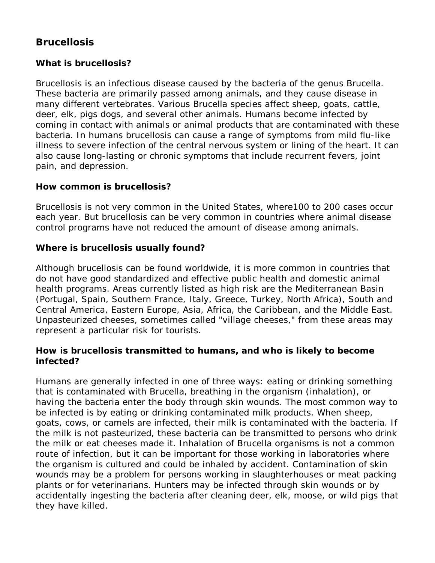# **Brucellosis**

# **What is brucellosis?**

Brucellosis is an infectious disease caused by the bacteria of the genus *Brucella*. These bacteria are primarily passed among animals, and they cause disease in many different vertebrates. Various *Brucella* species affect sheep, goats, cattle, deer, elk, pigs dogs, and several other animals. Humans become infected by coming in contact with animals or animal products that are contaminated with these bacteria. In humans brucellosis can cause a range of symptoms from mild flu-like illness to severe infection of the central nervous system or lining of the heart. It can also cause long-lasting or chronic symptoms that include recurrent fevers, joint pain, and depression.

#### **How common is brucellosis?**

Brucellosis is not very common in the United States, where100 to 200 cases occur each year. But brucellosis can be very common in countries where animal disease control programs have not reduced the amount of disease among animals.

#### **Where is brucellosis usually found?**

Although brucellosis can be found worldwide, it is more common in countries that do not have good standardized and effective public health and domestic animal health programs. Areas currently listed as high risk are the Mediterranean Basin (Portugal, Spain, Southern France, Italy, Greece, Turkey, North Africa), South and Central America, Eastern Europe, Asia, Africa, the Caribbean, and the Middle East. Unpasteurized cheeses, sometimes called "village cheeses," from these areas may represent a particular risk for tourists.

#### **How is brucellosis transmitted to humans, and who is likely to become infected?**

Humans are generally infected in one of three ways: eating or drinking something that is contaminated with Brucella, breathing in the organism (inhalation), or having the bacteria enter the body through skin wounds. The most common way to be infected is by eating or drinking contaminated milk products. When sheep, goats, cows, or camels are infected, their milk is contaminated with the bacteria. If the milk is not pasteurized, these bacteria can be transmitted to persons who drink the milk or eat cheeses made it. Inhalation of Brucella organisms is not a common route of infection, but it can be important for those working in laboratories where the organism is cultured and could be inhaled by accident. Contamination of skin wounds may be a problem for persons working in slaughterhouses or meat packing plants or for veterinarians. Hunters may be infected through skin wounds or by accidentally ingesting the bacteria after cleaning deer, elk, moose, or wild pigs that they have killed.